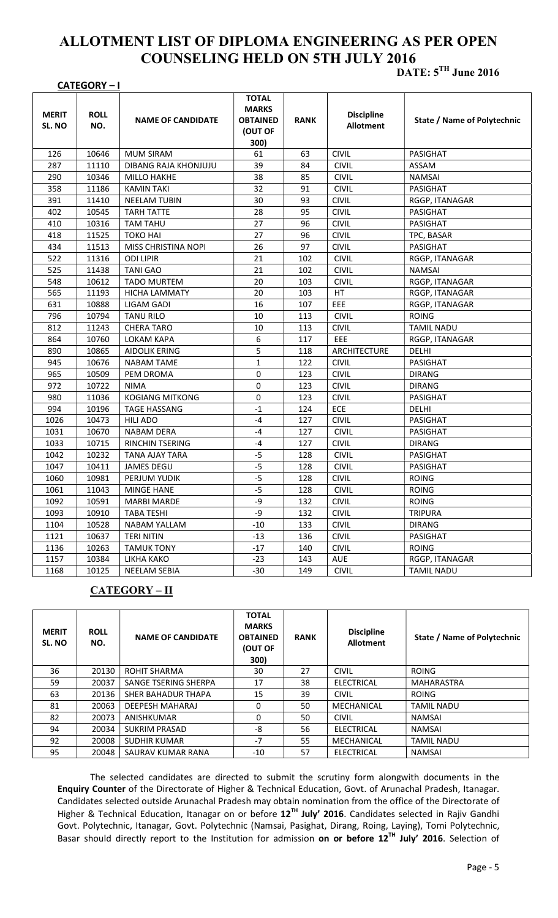## ALLOTMENT LIST OF DIPLOMA ENGINEERING AS PER OPEN COUNSELING HELD ON 5TH JULY 2016

## CATEGORY – I

DATE:  $5^{TH}$  June 2016

| <b>MERIT</b><br>SL. NO | <b>ROLL</b><br>NO. | <b>NAME OF CANDIDATE</b> | <b>TOTAL</b><br><b>MARKS</b><br><b>OBTAINED</b><br>(OUT OF<br>300) | <b>RANK</b> | <b>Discipline</b><br><b>Allotment</b> | State / Name of Polytechnic |
|------------------------|--------------------|--------------------------|--------------------------------------------------------------------|-------------|---------------------------------------|-----------------------------|
| 126                    | 10646              | <b>MUM SIRAM</b>         | 61                                                                 | 63          | <b>CIVIL</b>                          | PASIGHAT                    |
| 287                    | 11110              | DIBANG RAJA KHONJUJU     | 39                                                                 | 84          | <b>CIVIL</b>                          | ASSAM                       |
| 290                    | 10346              | <b>MILLO HAKHE</b>       | 38                                                                 | 85          | <b>CIVIL</b>                          | <b>NAMSAI</b>               |
| 358                    | 11186              | <b>KAMIN TAKI</b>        | 32                                                                 | 91          | <b>CIVIL</b>                          | PASIGHAT                    |
| 391                    | 11410              | <b>NEELAM TUBIN</b>      | 30                                                                 | 93          | <b>CIVIL</b>                          | RGGP, ITANAGAR              |
| 402                    | 10545              | <b>TARH TATTE</b>        | 28                                                                 | 95          | <b>CIVIL</b>                          | PASIGHAT                    |
| 410                    | 10316              | <b>TAM TAHU</b>          | 27                                                                 | 96          | <b>CIVIL</b>                          | PASIGHAT                    |
| 418                    | 11525              | <b>TOKO HAI</b>          | 27                                                                 | 96          | <b>CIVIL</b>                          | TPC, BASAR                  |
| 434                    | 11513              | MISS CHRISTINA NOPI      | 26                                                                 | 97          | <b>CIVIL</b>                          | PASIGHAT                    |
| 522                    | 11316              | <b>ODI LIPIR</b>         | 21                                                                 | 102         | <b>CIVIL</b>                          | RGGP, ITANAGAR              |
| 525                    | 11438              | <b>TANI GAO</b>          | 21                                                                 | 102         | <b>CIVIL</b>                          | <b>NAMSAI</b>               |
| 548                    | 10612              | <b>TADO MURTEM</b>       | 20                                                                 | 103         | <b>CIVIL</b>                          | RGGP, ITANAGAR              |
| 565                    | 11193              | <b>HICHA LAMMATY</b>     | 20                                                                 | 103         | HT                                    | RGGP, ITANAGAR              |
| 631                    | 10888              | LIGAM GADI               | 16                                                                 | 107         | EEE                                   | RGGP, ITANAGAR              |
| 796                    | 10794              | <b>TANU RILO</b>         | 10                                                                 | 113         | <b>CIVIL</b>                          | <b>ROING</b>                |
| 812                    | 11243              | <b>CHERA TARO</b>        | 10                                                                 | 113         | <b>CIVIL</b>                          | <b>TAMIL NADU</b>           |
| 864                    | 10760              | LOKAM KAPA               | 6                                                                  | 117         | EEE                                   | RGGP, ITANAGAR              |
| 890                    | 10865              | <b>AIDOLIK ERING</b>     | 5                                                                  | 118         | <b>ARCHITECTURE</b>                   | DELHI                       |
| 945                    | 10676              | <b>NABAM TAME</b>        | $\mathbf{1}$                                                       | 122         | <b>CIVIL</b>                          | PASIGHAT                    |
| 965                    | 10509              | PEM DROMA                | 0                                                                  | 123         | <b>CIVIL</b>                          | <b>DIRANG</b>               |
| 972                    | 10722              | <b>NIMA</b>              | 0                                                                  | 123         | <b>CIVIL</b>                          | <b>DIRANG</b>               |
| 980                    | 11036              | <b>KOGIANG MITKONG</b>   | 0                                                                  | 123         | <b>CIVIL</b>                          | PASIGHAT                    |
| 994                    | 10196              | <b>TAGE HASSANG</b>      | $-1$                                                               | 124         | ECE                                   | <b>DELHI</b>                |
| 1026                   | 10473              | <b>HILI ADO</b>          | $-4$                                                               | 127         | <b>CIVIL</b>                          | PASIGHAT                    |
| 1031                   | 10670              | <b>NABAM DERA</b>        | $-4$                                                               | 127         | <b>CIVIL</b>                          | PASIGHAT                    |
| 1033                   | 10715              | <b>RINCHIN TSERING</b>   | $-4$                                                               | 127         | <b>CIVIL</b>                          | <b>DIRANG</b>               |
| 1042                   | 10232              | TANA AJAY TARA           | $-5$                                                               | 128         | <b>CIVIL</b>                          | <b>PASIGHAT</b>             |
| 1047                   | 10411              | <b>JAMES DEGU</b>        | $-5$                                                               | 128         | <b>CIVIL</b>                          | PASIGHAT                    |
| 1060                   | 10981              | PERJUM YUDIK             | $-5$                                                               | 128         | <b>CIVIL</b>                          | <b>ROING</b>                |
| 1061                   | 11043              | <b>MINGE HANE</b>        | $-5$                                                               | 128         | <b>CIVIL</b>                          | <b>ROING</b>                |
| 1092                   | 10591              | <b>MARBI MARDE</b>       | -9                                                                 | 132         | <b>CIVIL</b>                          | <b>ROING</b>                |
| 1093                   | 10910              | <b>TABA TESHI</b>        | -9                                                                 | 132         | <b>CIVIL</b>                          | <b>TRIPURA</b>              |
| 1104                   | 10528              | NABAM YALLAM             | $-10$                                                              | 133         | <b>CIVIL</b>                          | <b>DIRANG</b>               |
| 1121                   | 10637              | <b>TERI NITIN</b>        | $-13$                                                              | 136         | <b>CIVIL</b>                          | PASIGHAT                    |
| 1136                   | 10263              | <b>TAMUK TONY</b>        | $-17$                                                              | 140         | <b>CIVIL</b>                          | <b>ROING</b>                |
| 1157                   | 10384              | LIKHA KAKO               | $-23$                                                              | 143         | AUE                                   | RGGP, ITANAGAR              |
| 1168                   | 10125              | NEELAM SEBIA             | $-30$                                                              | 149         | <b>CIVIL</b>                          | <b>TAMIL NADU</b>           |

## CATEGORY – II

| <b>MERIT</b><br>SL. NO | <b>ROLL</b><br>NO. | <b>NAME OF CANDIDATE</b> | <b>TOTAL</b><br><b>MARKS</b><br><b>OBTAINED</b><br><b>(OUT OF</b><br>300) | <b>RANK</b> | <b>Discipline</b><br><b>Allotment</b> | State / Name of Polytechnic |
|------------------------|--------------------|--------------------------|---------------------------------------------------------------------------|-------------|---------------------------------------|-----------------------------|
| 36                     | 20130              | <b>ROHIT SHARMA</b>      | 30                                                                        | 27          | <b>CIVIL</b>                          | <b>ROING</b>                |
| 59                     | 20037              | SANGE TSERING SHERPA     | 17                                                                        | 38          | <b>ELECTRICAL</b>                     | MAHARASTRA                  |
| 63                     | 20136              | SHER BAHADUR THAPA       | 15                                                                        | 39          | <b>CIVIL</b>                          | <b>ROING</b>                |
| 81                     | 20063              | DEEPESH MAHARAJ          | $\Omega$                                                                  | 50          | MECHANICAL                            | <b>TAMIL NADU</b>           |
| 82                     | 20073              | ANISHKUMAR               | 0                                                                         | 50          | <b>CIVIL</b>                          | NAMSAI                      |
| 94                     | 20034              | <b>SUKRIM PRASAD</b>     | -8                                                                        | 56          | <b>ELECTRICAL</b>                     | <b>NAMSAI</b>               |
| 92                     | 20008              | <b>SUDHIR KUMAR</b>      | $-7$                                                                      | 55          | MECHANICAL                            | <b>TAMIL NADU</b>           |
| 95                     | 20048              | SAURAV KUMAR RANA        | $-10$                                                                     | 57          | <b>ELECTRICAL</b>                     | <b>NAMSAI</b>               |

The selected candidates are directed to submit the scrutiny form alongwith documents in the Enquiry Counter of the Directorate of Higher & Technical Education, Govt. of Arunachal Pradesh, Itanagar. Candidates selected outside Arunachal Pradesh may obtain nomination from the office of the Directorate of Higher & Technical Education, Itanagar on or before 12TH July' 2016. Candidates selected in Rajiv Gandhi Govt. Polytechnic, Itanagar, Govt. Polytechnic (Namsai, Pasighat, Dirang, Roing, Laying), Tomi Polytechnic, Basar should directly report to the Institution for admission on or before 12TH July' 2016. Selection of